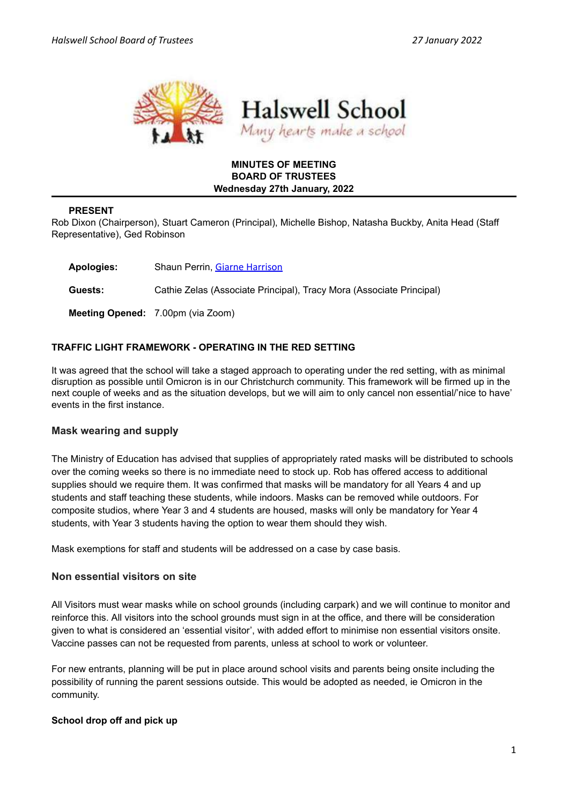

# **MINUTES OF MEETING BOARD OF TRUSTEES Wednesday 27th January, 2022**

### **PRESENT**

Rob Dixon (Chairperson), Stuart Cameron (Principal), Michelle Bishop, Natasha Buckby, Anita Head (Staff Representative), Ged Robinson

**Apologies:** Shaun Perrin, Giarne [Harrison](mailto:giarne@gmail.com) **Guests:** Cathie Zelas (Associate Principal), Tracy Mora (Associate Principal) **Meeting Opened:** 7.00pm (via Zoom)

# **TRAFFIC LIGHT FRAMEWORK - OPERATING IN THE RED SETTING**

It was agreed that the school will take a staged approach to operating under the red setting, with as minimal disruption as possible until Omicron is in our Christchurch community. This framework will be firmed up in the next couple of weeks and as the situation develops, but we will aim to only cancel non essential/'nice to have' events in the first instance.

# **Mask wearing and supply**

The Ministry of Education has advised that supplies of appropriately rated masks will be distributed to schools over the coming weeks so there is no immediate need to stock up. Rob has offered access to additional supplies should we require them. It was confirmed that masks will be mandatory for all Years 4 and up students and staff teaching these students, while indoors. Masks can be removed while outdoors. For composite studios, where Year 3 and 4 students are housed, masks will only be mandatory for Year 4 students, with Year 3 students having the option to wear them should they wish.

Mask exemptions for staff and students will be addressed on a case by case basis.

#### **Non essential visitors on site**

All Visitors must wear masks while on school grounds (including carpark) and we will continue to monitor and reinforce this. All visitors into the school grounds must sign in at the office, and there will be consideration given to what is considered an 'essential visitor', with added effort to minimise non essential visitors onsite. Vaccine passes can not be requested from parents, unless at school to work or volunteer.

For new entrants, planning will be put in place around school visits and parents being onsite including the possibility of running the parent sessions outside. This would be adopted as needed, ie Omicron in the community.

#### **School drop off and pick up**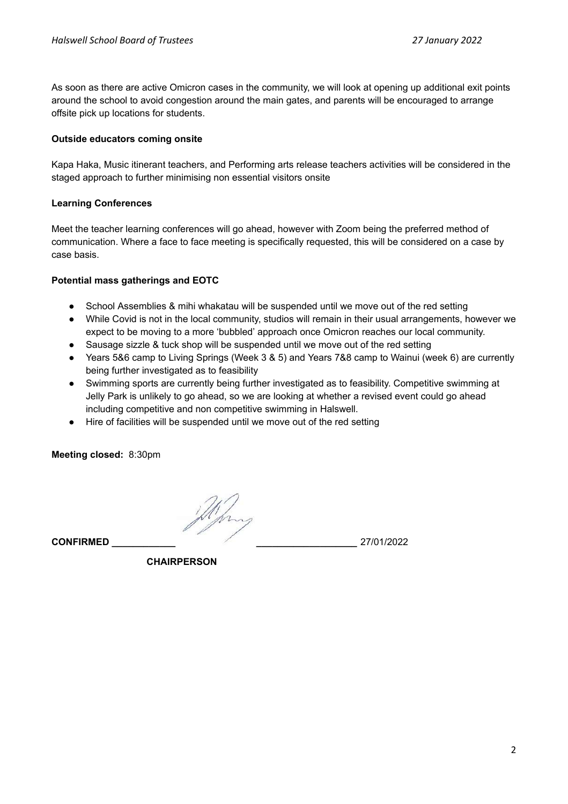As soon as there are active Omicron cases in the community, we will look at opening up additional exit points around the school to avoid congestion around the main gates, and parents will be encouraged to arrange offsite pick up locations for students.

#### **Outside educators coming onsite**

Kapa Haka, Music itinerant teachers, and Performing arts release teachers activities will be considered in the staged approach to further minimising non essential visitors onsite

### **Learning Conferences**

Meet the teacher learning conferences will go ahead, however with Zoom being the preferred method of communication. Where a face to face meeting is specifically requested, this will be considered on a case by case basis.

# **Potential mass gatherings and EOTC**

- School Assemblies & mihi whakatau will be suspended until we move out of the red setting
- While Covid is not in the local community, studios will remain in their usual arrangements, however we expect to be moving to a more 'bubbled' approach once Omicron reaches our local community.
- Sausage sizzle & tuck shop will be suspended until we move out of the red setting
- Years 5&6 camp to Living Springs (Week 3 & 5) and Years 7&8 camp to Wainui (week 6) are currently being further investigated as to feasibility
- Swimming sports are currently being further investigated as to feasibility. Competitive swimming at Jelly Park is unlikely to go ahead, so we are looking at whether a revised event could go ahead including competitive and non competitive swimming in Halswell.
- Hire of facilities will be suspended until we move out of the red setting

**Meeting closed:** 8:30pm

**CONFIRMED \_\_\_\_\_\_\_\_\_\_\_\_ \_\_\_\_\_\_\_\_\_\_\_\_\_\_\_\_\_\_\_** 27/01/2022

**CHAIRPERSON**